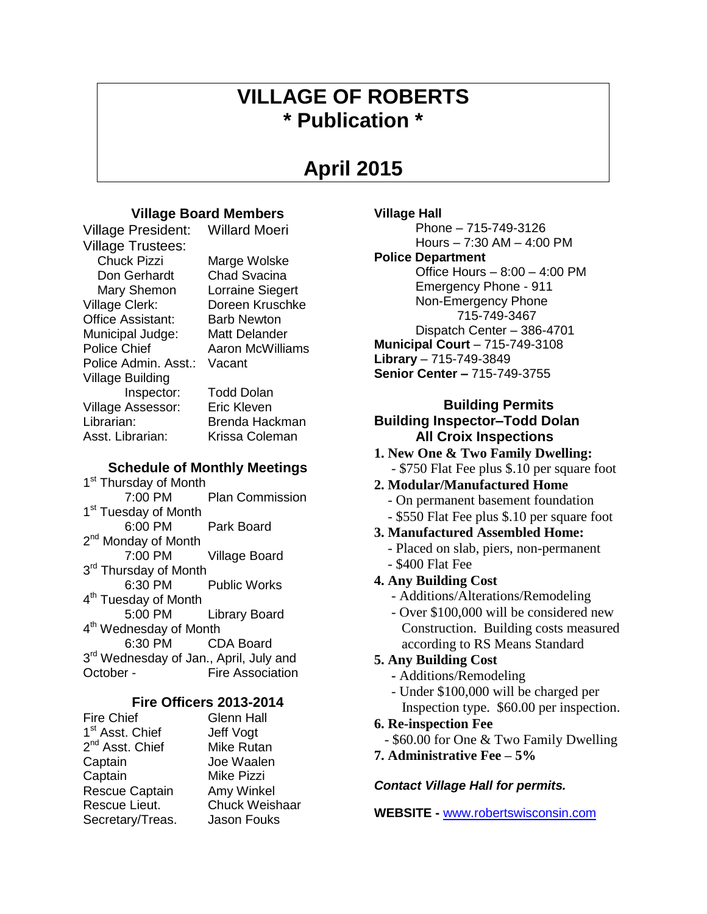# **VILLAGE OF ROBERTS \* Publication \***

# **April 2015**

**Village Hall**

**Police Department**

# **Village Board Members**

Village President: Willard Moeri

Village Trustees: Chuck Pizzi Marge Wolske Don Gerhardt Chad Svacina Mary Shemon Lorraine Siegert Village Clerk: Doreen Kruschke Office Assistant: Barb Newton Municipal Judge: Matt Delander Police Chief Aaron McWilliams Police Admin. Asst.: Vacant Village Building Inspector: Todd Dolan Village Assessor: Eric Kleven Librarian: Brenda Hackman Asst. Librarian: Krissa Coleman

## **Schedule of Monthly Meetings**

1<sup>st</sup> Thursday of Month 7:00 PM Plan Commission 1<sup>st</sup> Tuesday of Month 6:00 PM Park Board 2<sup>nd</sup> Monday of Month 7:00 PM Village Board 3<sup>rd</sup> Thursday of Month 6:30 PM Public Works 4<sup>th</sup> Tuesday of Month 5:00 PM Library Board 4<sup>th</sup> Wednesday of Month 6:30 PM CDA Board 3<sup>rd</sup> Wednesday of Jan., April, July and October - Fire Association

## **Fire Officers 2013-2014**

| <b>Fire Chief</b>           | <b>Glenn Hall</b>     |
|-----------------------------|-----------------------|
| 1 <sup>st</sup> Asst. Chief | Jeff Vogt             |
| 2 <sup>nd</sup> Asst. Chief | Mike Rutan            |
| Captain                     | Joe Waalen            |
| Captain                     | Mike Pizzi            |
| Rescue Captain              | Amy Winkel            |
| Rescue Lieut.               | <b>Chuck Weishaar</b> |
| Secretary/Treas.            | Jason Fouks           |

# **1. New One & Two Family Dwelling:** - \$750 Flat Fee plus \$.10 per square foot

**Library** – 715-749-3849

## **2. Modular/Manufactured Home**

**Building Inspector–Todd Dolan All Croix Inspections** 

**Municipal Court** – 715-749-3108

**Senior Center –** 715-749-3755

Phone – 715-749-3126 Hours – 7:30 AM – 4:00 PM

Office Hours – 8:00 – 4:00 PM Emergency Phone - 911 Non-Emergency Phone 715-749-3467 Dispatch Center – 386-4701

- On permanent basement foundation
- \$550 Flat Fee plus \$.10 per square foot

**Building Permits**

- **3. Manufactured Assembled Home:**
	- Placed on slab, piers, non-permanent
	- \$400 Flat Fee
- **4. Any Building Cost**
	- Additions/Alterations/Remodeling
	- Over \$100,000 will be considered new Construction. Building costs measured according to RS Means Standard

## **5. Any Building Cost**

- **-** Additions/Remodeling
- Under \$100,000 will be charged per Inspection type. \$60.00 per inspection.

## **6. Re-inspection Fee**

- \$60.00 for One & Two Family Dwelling
- **7. Administrative Fee – 5%**

## *Contact Village Hall for permits.*

**WEBSITE -** [www.robertswisconsin.com](http://www.robertswisconsin.com/)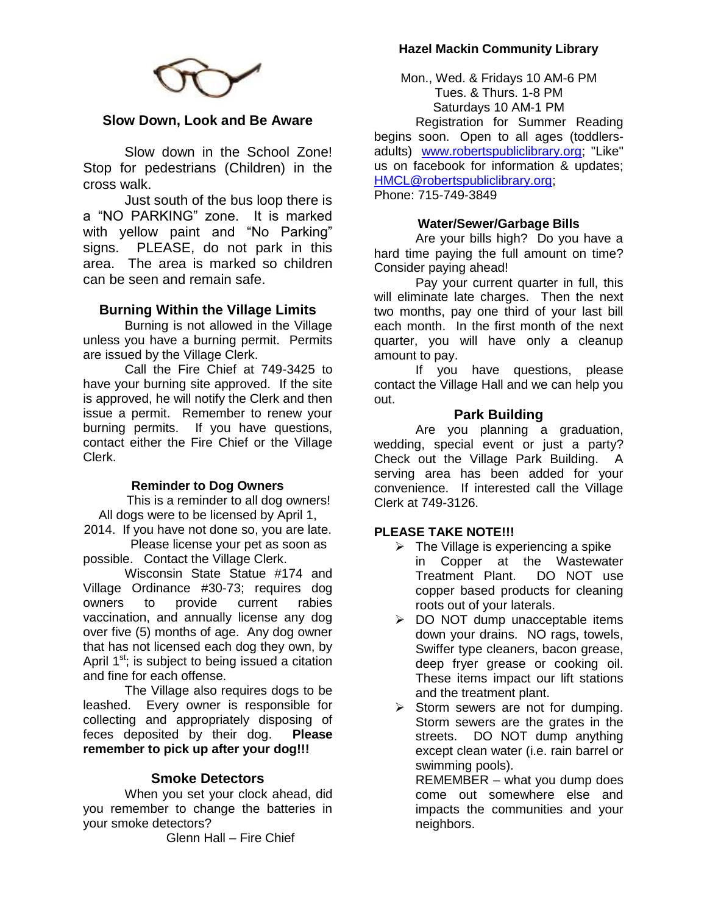## **Hazel Mackin Community Library**



## **Slow Down, Look and Be Aware**

Slow down in the School Zone! Stop for pedestrians (Children) in the cross walk.

Just south of the bus loop there is a "NO PARKING" zone. It is marked with yellow paint and "No Parking" signs. PLEASE, do not park in this area. The area is marked so children can be seen and remain safe.

## **Burning Within the Village Limits**

Burning is not allowed in the Village unless you have a burning permit. Permits are issued by the Village Clerk.

Call the Fire Chief at 749-3425 to have your burning site approved. If the site is approved, he will notify the Clerk and then issue a permit. Remember to renew your burning permits. If you have questions, contact either the Fire Chief or the Village Clerk.

#### **Reminder to Dog Owners**

This is a reminder to all dog owners! All dogs were to be licensed by April 1,

2014. If you have not done so, you are late. Please license your pet as soon as

possible. Contact the Village Clerk. Wisconsin State Statue #174 and Village Ordinance #30-73; requires dog owners to provide current rabies vaccination, and annually license any dog over five (5) months of age. Any dog owner that has not licensed each dog they own, by April  $1<sup>st</sup>$ ; is subject to being issued a citation and fine for each offense.

The Village also requires dogs to be leashed. Every owner is responsible for collecting and appropriately disposing of feces deposited by their dog. **Please remember to pick up after your dog!!!**

#### **Smoke Detectors**

When you set your clock ahead, did you remember to change the batteries in your smoke detectors?

Glenn Hall – Fire Chief

Mon., Wed. & Fridays 10 AM-6 PM Tues. & Thurs. 1-8 PM Saturdays 10 AM-1 PM

Registration for Summer Reading begins soon. Open to all ages (toddlersadults) [www.robertspubliclibrary.org;](http://www.robertspubliclibrary.org/) "Like" us on facebook for information & updates; [HMCL@robertspubliclibrary.org;](mailto:HMCL@robertspubliclibrary.org) Phone: 715-749-3849

#### **Water/Sewer/Garbage Bills**

Are your bills high? Do you have a hard time paying the full amount on time? Consider paying ahead!

Pay your current quarter in full, this will eliminate late charges. Then the next two months, pay one third of your last bill each month. In the first month of the next quarter, you will have only a cleanup amount to pay.

If you have questions, please contact the Village Hall and we can help you out.

#### **Park Building**

Are you planning a graduation, wedding, special event or just a party? Check out the Village Park Building. A serving area has been added for your convenience. If interested call the Village Clerk at 749-3126.

#### **PLEASE TAKE NOTE!!!**

- $\triangleright$  The Village is experiencing a spike in Copper at the Wastewater Treatment Plant. DO NOT use copper based products for cleaning roots out of your laterals.
- $\triangleright$  DO NOT dump unacceptable items down your drains. NO rags, towels, Swiffer type cleaners, bacon grease, deep fryer grease or cooking oil. These items impact our lift stations and the treatment plant.
- $\triangleright$  Storm sewers are not for dumping. Storm sewers are the grates in the streets. DO NOT dump anything except clean water (i.e. rain barrel or swimming pools).

REMEMBER – what you dump does come out somewhere else and impacts the communities and your neighbors.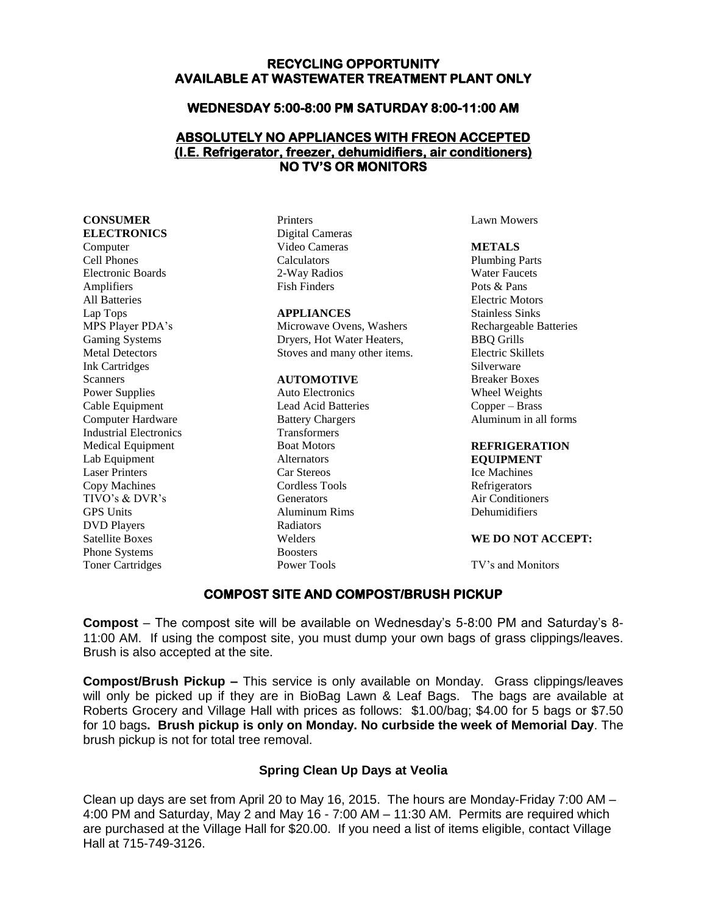#### **RECYCLING OPPORTUNITY AVAILABLE AT WASTEWATER TREATMENT PLANT ONLY**

#### **WEDNESDAY 5:00-8:00 PM SATURDAY 8:00-11:00 AM**

### **ABSOLUTELY NO APPLIANCES WITH FREON ACCEPTED (I.E. Refrigerator, freezer, dehumidifiers, air conditioners) NO TV'S OR MONITORS**

**CONSUMER ELECTRONICS** Computer Cell Phones Electronic Boards Amplifiers All Batteries Lap Tops MPS Player PDA's Gaming Systems Metal Detectors Ink Cartridges **Scanners** Power Supplies Cable Equipment Computer Hardware Industrial Electronics Medical Equipment Lab Equipment Laser Printers Copy Machines TIVO's & DVR's GPS Units DVD Players Satellite Boxes Phone Systems Toner Cartridges

Printers Digital Cameras Video Cameras Calculators 2-Way Radios Fish Finders

#### **APPLIANCES**

Microwave Ovens, Washers Dryers, Hot Water Heaters, Stoves and many other items.

#### **AUTOMOTIVE**

Auto Electronics Lead Acid Batteries Battery Chargers Transformers Boat Motors Alternators Car Stereos Cordless Tools Generators Aluminum Rims Radiators Welders Boosters Power Tools

Lawn Mowers

**METALS** Plumbing Parts Water Faucets Pots & Pans Electric Motors Stainless Sinks Rechargeable Batteries BBQ Grills Electric Skillets Silverware Breaker Boxes Wheel Weights Copper – Brass Aluminum in all forms

#### **REFRIGERATION**

**EQUIPMENT** Ice Machines Refrigerators Air Conditioners Dehumidifiers

#### **WE DO NOT ACCEPT:**

TV's and Monitors

#### **COMPOST SITE AND COMPOST/BRUSH PICKUP**

**Compost** – The compost site will be available on Wednesday's 5-8:00 PM and Saturday's 8- 11:00 AM. If using the compost site, you must dump your own bags of grass clippings/leaves. Brush is also accepted at the site.

**Compost/Brush Pickup –** This service is only available on Monday. Grass clippings/leaves will only be picked up if they are in BioBag Lawn & Leaf Bags. The bags are available at Roberts Grocery and Village Hall with prices as follows: \$1.00/bag; \$4.00 for 5 bags or \$7.50 for 10 bags**. Brush pickup is only on Monday. No curbside the week of Memorial Day**. The brush pickup is not for total tree removal.

### **Spring Clean Up Days at Veolia**

Clean up days are set from April 20 to May 16, 2015. The hours are Monday-Friday 7:00 AM – 4:00 PM and Saturday, May 2 and May 16 - 7:00 AM – 11:30 AM. Permits are required which are purchased at the Village Hall for \$20.00. If you need a list of items eligible, contact Village Hall at 715-749-3126.